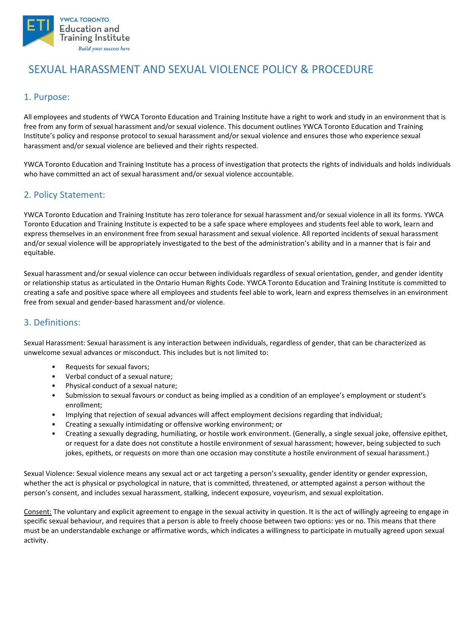

# SEXUAL HARASSMENT AND SEXUAL VIOLENCE POLICY & PROCEDURE

# 1. Purpose:

All employees and students of YWCA Toronto Education and Training Institute have a right to work and study in an environment that is free from any form of sexual harassment and/or sexual violence. This document outlines YWCA Toronto Education and Training Institute's policy and response protocol to sexual harassment and/or sexual violence and ensures those who experience sexual harassment and/or sexual violence are believed and their rights respected.

YWCA Toronto Education and Training Institute has a process of investigation that protects the rights of individuals and holds individuals who have committed an act of sexual harassment and/or sexual violence accountable.

# 2. Policy Statement:

YWCA Toronto Education and Training Institute has zero tolerance for sexual harassment and/or sexual violence in all its forms. YWCA Toronto Education and Training Institute is expected to be a safe space where employees and students feel able to work, learn and express themselves in an environment free from sexual harassment and sexual violence. All reported incidents of sexual harassment and/or sexual violence will be appropriately investigated to the best of the administration's ability and in a manner that is fair and equitable.

Sexual harassment and/or sexual violence can occur between individuals regardless of sexual orientation, gender, and gender identity or relationship status as articulated in the Ontario Human Rights Code. YWCA Toronto Education and Training Institute is committed to creating a safe and positive space where all employees and students feel able to work, learn and express themselves in an environment free from sexual and gender-based harassment and/or violence.

### 3. Definitions:

Sexual Harassment: Sexual harassment is any interaction between individuals, regardless of gender, that can be characterized as unwelcome sexual advances or misconduct. This includes but is not limited to:

- Requests for sexual favors;
- Verbal conduct of a sexual nature;
- Physical conduct of a sexual nature;
- Submission to sexual favours or conduct as being implied as a condition of an employee's employment or student's enrollment;
- Implying that rejection of sexual advances will affect employment decisions regarding that individual;
- Creating a sexually intimidating or offensive working environment; or
- Creating a sexually degrading, humiliating, or hostile work environment. (Generally, a single sexual joke, offensive epithet, or request for a date does not constitute a hostile environment of sexual harassment; however, being subjected to such jokes, epithets, or requests on more than one occasion may constitute a hostile environment of sexual harassment.)

Sexual Violence: Sexual violence means any sexual act or act targeting a person's sexuality, gender identity or gender expression, whether the act is physical or psychological in nature, that is committed, threatened, or attempted against a person without the person's consent, and includes sexual harassment, stalking, indecent exposure, voyeurism, and sexual exploitation.

Consent: The voluntary and explicit agreement to engage in the sexual activity in question. It is the act of willingly agreeing to engage in specific sexual behaviour, and requires that a person is able to freely choose between two options: yes or no. This means that there must be an understandable exchange or affirmative words, which indicates a willingness to participate in mutually agreed upon sexual activity.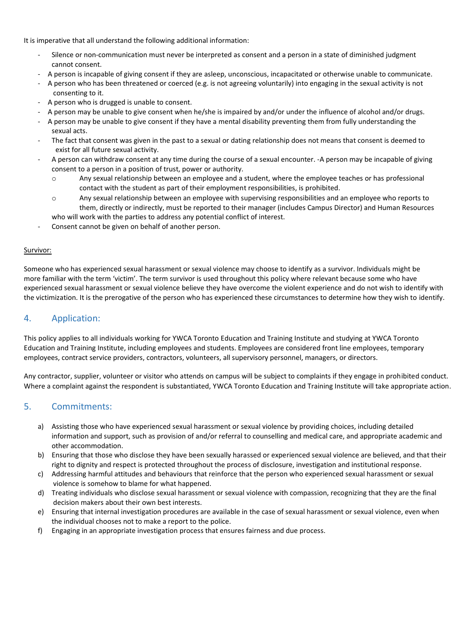It is imperative that all understand the following additional information:

- Silence or non-communication must never be interpreted as consent and a person in a state of diminished judgment cannot consent.
- A person is incapable of giving consent if they are asleep, unconscious, incapacitated or otherwise unable to communicate.
- A person who has been threatened or coerced (e.g. is not agreeing voluntarily) into engaging in the sexual activity is not consenting to it.
- A person who is drugged is unable to consent.
- A person may be unable to give consent when he/she is impaired by and/or under the influence of alcohol and/or drugs.
- A person may be unable to give consent if they have a mental disability preventing them from fully understanding the sexual acts.
- The fact that consent was given in the past to a sexual or dating relationship does not means that consent is deemed to exist for all future sexual activity.
- A person can withdraw consent at any time during the course of a sexual encounter. -A person may be incapable of giving consent to a person in a position of trust, power or authority.
	- o Any sexual relationship between an employee and a student, where the employee teaches or has professional contact with the student as part of their employment responsibilities, is prohibited.
	- $\circ$  Any sexual relationship between an employee with supervising responsibilities and an employee who reports to them, directly or indirectly, must be reported to their manager (includes Campus Director) and Human Resources
	- who will work with the parties to address any potential conflict of interest.
- Consent cannot be given on behalf of another person.

#### Survivor:

Someone who has experienced sexual harassment or sexual violence may choose to identify as a survivor. Individuals might be more familiar with the term 'victim'. The term survivor is used throughout this policy where relevant because some who have experienced sexual harassment or sexual violence believe they have overcome the violent experience and do not wish to identify with the victimization. It is the prerogative of the person who has experienced these circumstances to determine how they wish to identify.

### 4. Application:

This policy applies to all individuals working for YWCA Toronto Education and Training Institute and studying at YWCA Toronto Education and Training Institute, including employees and students. Employees are considered front line employees, temporary employees, contract service providers, contractors, volunteers, all supervisory personnel, managers, or directors.

Any contractor, supplier, volunteer or visitor who attends on campus will be subject to complaints if they engage in prohibited conduct. Where a complaint against the respondent is substantiated, YWCA Toronto Education and Training Institute will take appropriate action.

#### 5. Commitments:

- a) Assisting those who have experienced sexual harassment or sexual violence by providing choices, including detailed information and support, such as provision of and/or referral to counselling and medical care, and appropriate academic and other accommodation.
- b) Ensuring that those who disclose they have been sexually harassed or experienced sexual violence are believed, and that their right to dignity and respect is protected throughout the process of disclosure, investigation and institutional response.
- c) Addressing harmful attitudes and behaviours that reinforce that the person who experienced sexual harassment or sexual violence is somehow to blame for what happened.
- d) Treating individuals who disclose sexual harassment or sexual violence with compassion, recognizing that they are the final decision makers about their own best interests.
- e) Ensuring that internal investigation procedures are available in the case of sexual harassment or sexual violence, even when the individual chooses not to make a report to the police.
- f) Engaging in an appropriate investigation process that ensures fairness and due process.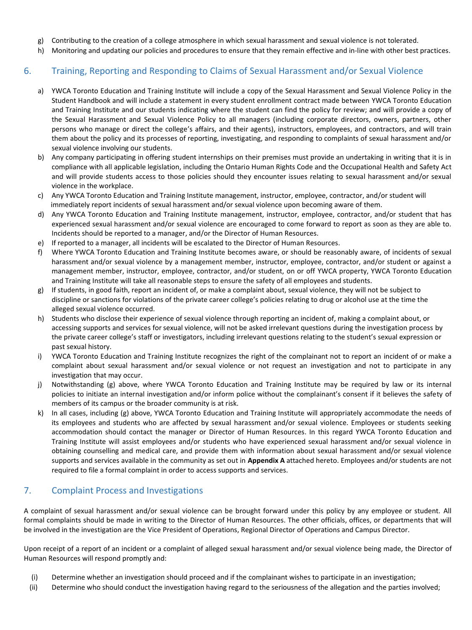- g) Contributing to the creation of a college atmosphere in which sexual harassment and sexual violence is not tolerated.
- h) Monitoring and updating our policies and procedures to ensure that they remain effective and in-line with other best practices.

# 6. Training, Reporting and Responding to Claims of Sexual Harassment and/or Sexual Violence

- a) YWCA Toronto Education and Training Institute will include a copy of the Sexual Harassment and Sexual Violence Policy in the Student Handbook and will include a statement in every student enrollment contract made between YWCA Toronto Education and Training Institute and our students indicating where the student can find the policy for review; and will provide a copy of the Sexual Harassment and Sexual Violence Policy to all managers (including corporate directors, owners, partners, other persons who manage or direct the college's affairs, and their agents), instructors, employees, and contractors, and will train them about the policy and its processes of reporting, investigating, and responding to complaints of sexual harassment and/or sexual violence involving our students.
- b) Any company participating in offering student internships on their premises must provide an undertaking in writing that it is in compliance with all applicable legislation, including the Ontario Human Rights Code and the Occupational Health and Safety Act and will provide students access to those policies should they encounter issues relating to sexual harassment and/or sexual violence in the workplace.
- c) Any YWCA Toronto Education and Training Institute management, instructor, employee, contractor, and/or student will immediately report incidents of sexual harassment and/or sexual violence upon becoming aware of them.
- d) Any YWCA Toronto Education and Training Institute management, instructor, employee, contractor, and/or student that has experienced sexual harassment and/or sexual violence are encouraged to come forward to report as soon as they are able to. Incidents should be reported to a manager, and/or the Director of Human Resources.
- e) If reported to a manager, all incidents will be escalated to the Director of Human Resources.
- f) Where YWCA Toronto Education and Training Institute becomes aware, or should be reasonably aware, of incidents of sexual harassment and/or sexual violence by a management member, instructor, employee, contractor, and/or student or against a management member, instructor, employee, contractor, and/or student, on or off YWCA property, YWCA Toronto Education and Training Institute will take all reasonable steps to ensure the safety of all employees and students.
- g) If students, in good faith, report an incident of, or make a complaint about, sexual violence, they will not be subject to discipline or sanctions for violations of the private career college's policies relating to drug or alcohol use at the time the alleged sexual violence occurred.
- h) Students who disclose their experience of sexual violence through reporting an incident of, making a complaint about, or accessing supports and services for sexual violence, will not be asked irrelevant questions during the investigation process by the private career college's staff or investigators, including irrelevant questions relating to the student's sexual expression or past sexual history.
- i) YWCA Toronto Education and Training Institute recognizes the right of the complainant not to report an incident of or make a complaint about sexual harassment and/or sexual violence or not request an investigation and not to participate in any investigation that may occur.
- j) Notwithstanding (g) above, where YWCA Toronto Education and Training Institute may be required by law or its internal policies to initiate an internal investigation and/or inform police without the complainant's consent if it believes the safety of members of its campus or the broader community is at risk.
- k) In all cases, including (g) above, YWCA Toronto Education and Training Institute will appropriately accommodate the needs of its employees and students who are affected by sexual harassment and/or sexual violence. Employees or students seeking accommodation should contact the manager or Director of Human Resources. In this regard YWCA Toronto Education and Training Institute will assist employees and/or students who have experienced sexual harassment and/or sexual violence in obtaining counselling and medical care, and provide them with information about sexual harassment and/or sexual violence supports and services available in the community as set out in **Appendix A** attached hereto. Employees and/or students are not required to file a formal complaint in order to access supports and services.

### 7. Complaint Process and Investigations

A complaint of sexual harassment and/or sexual violence can be brought forward under this policy by any employee or student. All formal complaints should be made in writing to the Director of Human Resources. The other officials, offices, or departments that will be involved in the investigation are the Vice President of Operations, Regional Director of Operations and Campus Director.

Upon receipt of a report of an incident or a complaint of alleged sexual harassment and/or sexual violence being made, the Director of Human Resources will respond promptly and:

- (i) Determine whether an investigation should proceed and if the complainant wishes to participate in an investigation;
- (ii) Determine who should conduct the investigation having regard to the seriousness of the allegation and the parties involved;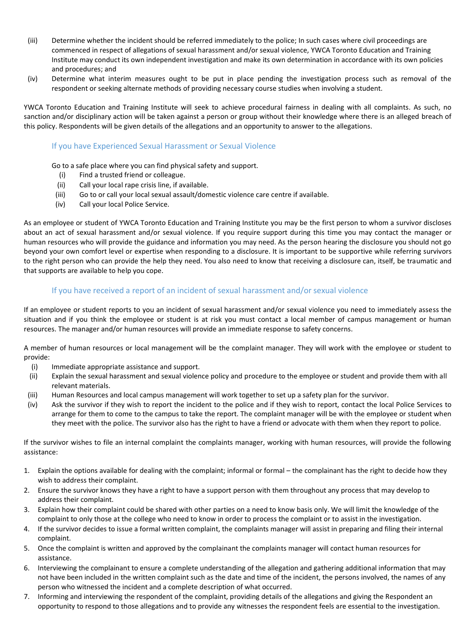- (iii) Determine whether the incident should be referred immediately to the police; In such cases where civil proceedings are commenced in respect of allegations of sexual harassment and/or sexual violence, YWCA Toronto Education and Training Institute may conduct its own independent investigation and make its own determination in accordance with its own policies and procedures; and
- (iv) Determine what interim measures ought to be put in place pending the investigation process such as removal of the respondent or seeking alternate methods of providing necessary course studies when involving a student.

YWCA Toronto Education and Training Institute will seek to achieve procedural fairness in dealing with all complaints. As such, no sanction and/or disciplinary action will be taken against a person or group without their knowledge where there is an alleged breach of this policy. Respondents will be given details of the allegations and an opportunity to answer to the allegations.

#### If you have Experienced Sexual Harassment or Sexual Violence

Go to a safe place where you can find physical safety and support.

- (i) Find a trusted friend or colleague.
- (ii) Call your local rape crisis line, if available.
- (iii) Go to or call your local sexual assault/domestic violence care centre if available.
- (iv) Call your local Police Service.

As an employee or student of YWCA Toronto Education and Training Institute you may be the first person to whom a survivor discloses about an act of sexual harassment and/or sexual violence. If you require support during this time you may contact the manager or human resources who will provide the guidance and information you may need. As the person hearing the disclosure you should not go beyond your own comfort level or expertise when responding to a disclosure. It is important to be supportive while referring survivors to the right person who can provide the help they need. You also need to know that receiving a disclosure can, itself, be traumatic and that supports are available to help you cope.

#### If you have received a report of an incident of sexual harassment and/or sexual violence

If an employee or student reports to you an incident of sexual harassment and/or sexual violence you need to immediately assess the situation and if you think the employee or student is at risk you must contact a local member of campus management or human resources. The manager and/or human resources will provide an immediate response to safety concerns.

A member of human resources or local management will be the complaint manager. They will work with the employee or student to provide:

- (i) Immediate appropriate assistance and support.
- (ii) Explain the sexual harassment and sexual violence policy and procedure to the employee or student and provide them with all relevant materials.
- (iii) Human Resources and local campus management will work together to set up a safety plan for the survivor.
- (iv) Ask the survivor if they wish to report the incident to the police and if they wish to report, contact the local Police Services to arrange for them to come to the campus to take the report. The complaint manager will be with the employee or student when they meet with the police. The survivor also has the right to have a friend or advocate with them when they report to police.

If the survivor wishes to file an internal complaint the complaints manager, working with human resources, will provide the following assistance:

- 1. Explain the options available for dealing with the complaint; informal or formal the complainant has the right to decide how they wish to address their complaint.
- 2. Ensure the survivor knows they have a right to have a support person with them throughout any process that may develop to address their complaint.
- 3. Explain how their complaint could be shared with other parties on a need to know basis only. We will limit the knowledge of the complaint to only those at the college who need to know in order to process the complaint or to assist in the investigation.
- 4. If the survivor decides to issue a formal written complaint, the complaints manager will assist in preparing and filing their internal complaint.
- 5. Once the complaint is written and approved by the complainant the complaints manager will contact human resources for assistance.
- 6. Interviewing the complainant to ensure a complete understanding of the allegation and gathering additional information that may not have been included in the written complaint such as the date and time of the incident, the persons involved, the names of any person who witnessed the incident and a complete description of what occurred.
- 7. Informing and interviewing the respondent of the complaint, providing details of the allegations and giving the Respondent an opportunity to respond to those allegations and to provide any witnesses the respondent feels are essential to the investigation.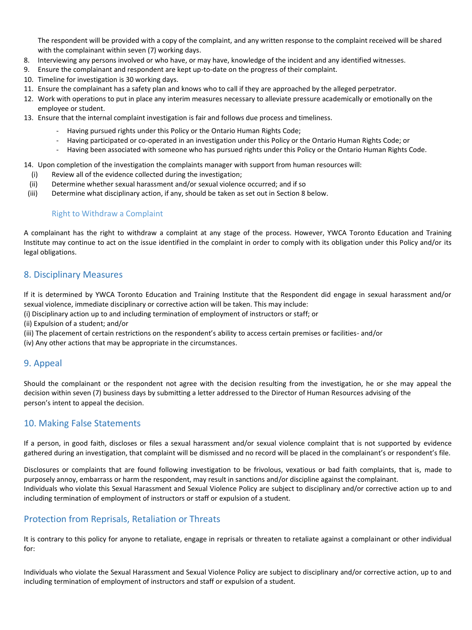The respondent will be provided with a copy of the complaint, and any written response to the complaint received will be shared with the complainant within seven (7) working days.

- 8. Interviewing any persons involved or who have, or may have, knowledge of the incident and any identified witnesses.
- 9. Ensure the complainant and respondent are kept up-to-date on the progress of their complaint.
- 10. Timeline for investigation is 30 working days.
- 11. Ensure the complainant has a safety plan and knows who to call if they are approached by the alleged perpetrator.
- 12. Work with operations to put in place any interim measures necessary to alleviate pressure academically or emotionally on the employee or student.
- 13. Ensure that the internal complaint investigation is fair and follows due process and timeliness.
	- Having pursued rights under this Policy or the Ontario Human Rights Code;
	- Having participated or co-operated in an investigation under this Policy or the Ontario Human Rights Code; or
	- Having been associated with someone who has pursued rights under this Policy or the Ontario Human Rights Code.

14. Upon completion of the investigation the complaints manager with support from human resources will:

- (i) Review all of the evidence collected during the investigation;
- (ii) Determine whether sexual harassment and/or sexual violence occurred; and if so
- (iii) Determine what disciplinary action, if any, should be taken as set out in Section 8 below.

#### Right to Withdraw a Complaint

A complainant has the right to withdraw a complaint at any stage of the process. However, YWCA Toronto Education and Training Institute may continue to act on the issue identified in the complaint in order to comply with its obligation under this Policy and/or its legal obligations.

# 8. Disciplinary Measures

If it is determined by YWCA Toronto Education and Training Institute that the Respondent did engage in sexual harassment and/or sexual violence, immediate disciplinary or corrective action will be taken. This may include:

- (i) Disciplinary action up to and including termination of employment of instructors or staff; or
- (ii) Expulsion of a student; and/or
- (iii) The placement of certain restrictions on the respondent's ability to access certain premises or facilities- and/or
- (iv) Any other actions that may be appropriate in the circumstances.

### 9. Appeal

Should the complainant or the respondent not agree with the decision resulting from the investigation, he or she may appeal the decision within seven (7) business days by submitting a letter addressed to the Director of Human Resources advising of the person's intent to appeal the decision.

#### 10. Making False Statements

If a person, in good faith, discloses or files a sexual harassment and/or sexual violence complaint that is not supported by evidence gathered during an investigation, that complaint will be dismissed and no record will be placed in the complainant's or respondent's file.

Disclosures or complaints that are found following investigation to be frivolous, vexatious or bad faith complaints, that is, made to purposely annoy, embarrass or harm the respondent, may result in sanctions and/or discipline against the complainant. Individuals who violate this Sexual Harassment and Sexual Violence Policy are subject to disciplinary and/or corrective action up to and including termination of employment of instructors or staff or expulsion of a student.

### Protection from Reprisals, Retaliation or Threats

It is contrary to this policy for anyone to retaliate, engage in reprisals or threaten to retaliate against a complainant or other individual for:

Individuals who violate the Sexual Harassment and Sexual Violence Policy are subject to disciplinary and/or corrective action, up to and including termination of employment of instructors and staff or expulsion of a student.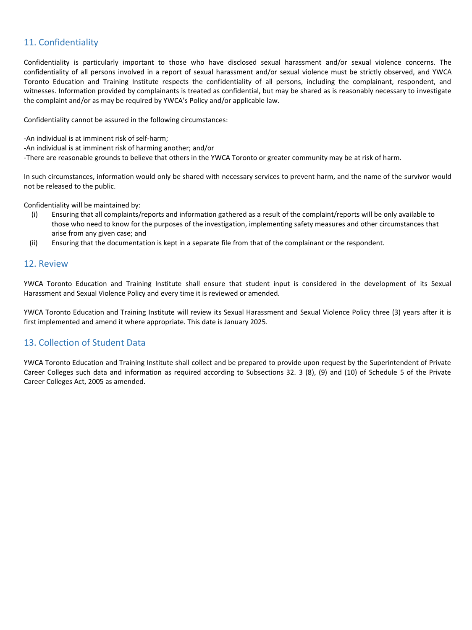# 11. Confidentiality

Confidentiality is particularly important to those who have disclosed sexual harassment and/or sexual violence concerns. The confidentiality of all persons involved in a report of sexual harassment and/or sexual violence must be strictly observed, and YWCA Toronto Education and Training Institute respects the confidentiality of all persons, including the complainant, respondent, and witnesses. Information provided by complainants is treated as confidential, but may be shared as is reasonably necessary to investigate the complaint and/or as may be required by YWCA's Policy and/or applicable law.

Confidentiality cannot be assured in the following circumstances:

-An individual is at imminent risk of self-harm;

-An individual is at imminent risk of harming another; and/or

-There are reasonable grounds to believe that others in the YWCA Toronto or greater community may be at risk of harm.

In such circumstances, information would only be shared with necessary services to prevent harm, and the name of the survivor would not be released to the public.

Confidentiality will be maintained by:

- (i) Ensuring that all complaints/reports and information gathered as a result of the complaint/reports will be only available to those who need to know for the purposes of the investigation, implementing safety measures and other circumstances that arise from any given case; and
- (ii) Ensuring that the documentation is kept in a separate file from that of the complainant or the respondent.

#### 12. Review

YWCA Toronto Education and Training Institute shall ensure that student input is considered in the development of its Sexual Harassment and Sexual Violence Policy and every time it is reviewed or amended.

YWCA Toronto Education and Training Institute will review its Sexual Harassment and Sexual Violence Policy three (3) years after it is first implemented and amend it where appropriate. This date is January 2025.

### 13. Collection of Student Data

YWCA Toronto Education and Training Institute shall collect and be prepared to provide upon request by the Superintendent of Private Career Colleges such data and information as required according to Subsections 32. 3 (8), (9) and (10) of Schedule 5 of the Private Career Colleges Act, 2005 as amended.